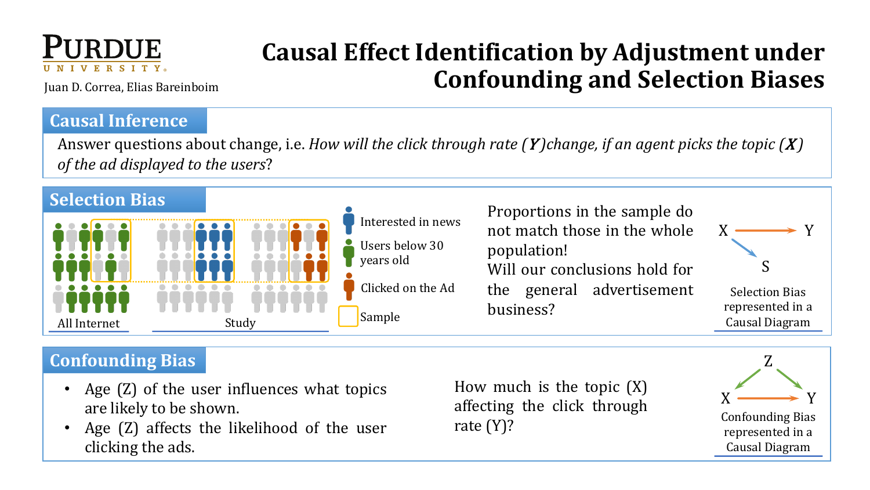

# **Causal Effect Identification by Adjustment under Confounding and Selection Biases**

Juan D. Correa, Elias Bareinboim

#### **Causal Inference**

Answer questions about change, i.e. *How will the click through rate* (*Y*)*change, if an agent picks the topic* (*X*) of the ad displayed to the users?



## **Confounding Bias**

- Age (Z) of the user influences what topics are likely to be shown.
- Age (Z) affects the likelihood of the user clicking the ads.

How much is the topic (X) affecting the click through rate (Y)?